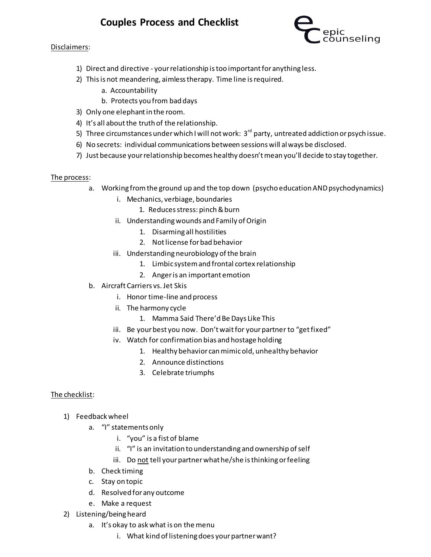## **Couples Process and Checklist**

## Disclaimers:



- 1) Direct and directive your relationship is too important for anything less.
- 2) This is not meandering, aimless therapy. Time line is required.
	- a. Accountability
	- b. Protects you from bad days
- 3) Only one elephant in the room.
- 4) It's all about the truth of the relationship.
- 5) Three circumstances under which I will not work:  $3<sup>rd</sup>$  party, untreated addiction or psych issue.
- 6) No secrets: individual communications between sessions will always be disclosed.
- 7) Just because your relationship becomes healthy doesn't mean you'll decide to stay together.

## The process:

- a. Working from the ground up and the top down (psycho education AND psychodynamics)
	- i. Mechanics, verbiage, boundaries
		- 1. Reduces stress: pinch & burn
	- ii. Understanding wounds and Family of Origin
		- 1. Disarming all hostilities
		- 2. Not license for bad behavior
	- iii. Understanding neurobiology of the brain
		- 1. Limbic system and frontal cortex relationship
		- 2. Anger is an important emotion
- b. Aircraft Carriers vs. Jet Skis
	- i. Honor time-line and process
	- ii. The harmony cycle
		- 1. Mamma Said There'd Be Days Like This
	- iii. Be your best you now. Don't wait for your partner to "get fixed"
	- iv. Watch for confirmation bias and hostage holding
		- 1. Healthy behavior can mimic old, unhealthy behavior
		- 2. Announce distinctions
		- 3. Celebrate triumphs

## The checklist:

- 1) Feedback wheel
	- a. "I" statements only
		- i. "you" is a fist of blame
		- ii. "I" is an invitation to understanding and ownership of self
		- iii. Do not tell your partner what he/she is thinking or feeling
	- b. Check timing
	- c. Stay on topic
	- d. Resolved for any outcome
	- e. Make a request
- 2) Listening/being heard
	- a. It's okay to ask what is on the menu
		- i. What kind of listening does your partner want?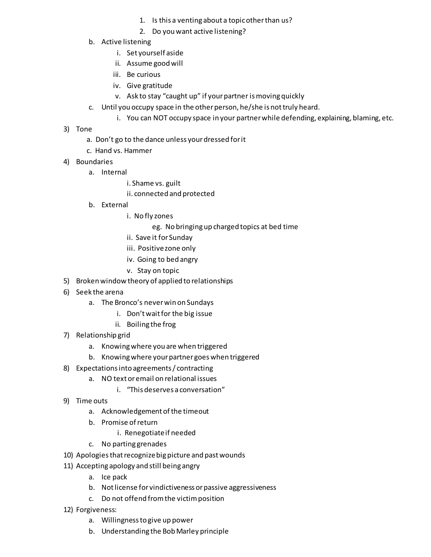- 1. Is this a venting about a topic other than us?
- 2. Do you want active listening?
- b. Active listening
	- i. Set yourself aside
	- ii. Assume good will
	- iii. Be curious
	- iv. Give gratitude
	- v. Ask to stay "caught up" if your partner is moving quickly
- c. Until you occupy space in the other person, he/she is not truly heard.
	- i. You can NOT occupy space in your partner while defending, explaining, blaming, etc.
- 3) Tone
	- a. Don't go to the dance unless your dressed for it
	- c. Hand vs. Hammer
- 4) Boundaries
	- a. Internal
		- i. Shame vs. guilt
		- ii. connected and protected
	- b. External
		- i. No fly zones
			- eg. No bringing up charged topics at bed time
		- ii. Save it for Sunday
		- iii. Positive zone only
		- iv. Going to bed angry
		- v. Stay on topic
- 5) Broken window theory of applied to relationships
- 6) Seek the arena
	- a. The Bronco's never win on Sundays
		- i. Don't wait for the big issue
		- ii. Boiling the frog
- 7) Relationship grid
	- a. Knowing where you are when triggered
	- b. Knowing where your partner goes when triggered
- 8) Expectations into agreements / contracting
	- a. NO text or email on relational issues
		- i. "This deserves a conversation"
- 9) Time outs
	- a. Acknowledgement of the timeout
	- b. Promise of return
		- i. Renegotiate if needed
	- c. No parting grenades
- 10) Apologies that recognize big picture and past wounds
- 11) Accepting apology and still being angry
	- a. Ice pack
	- b. Not license for vindictiveness or passive aggressiveness
	- c. Do not offend from the victim position
- 12) Forgiveness:
	- a. Willingness to give up power
	- b. Understanding the Bob Marley principle